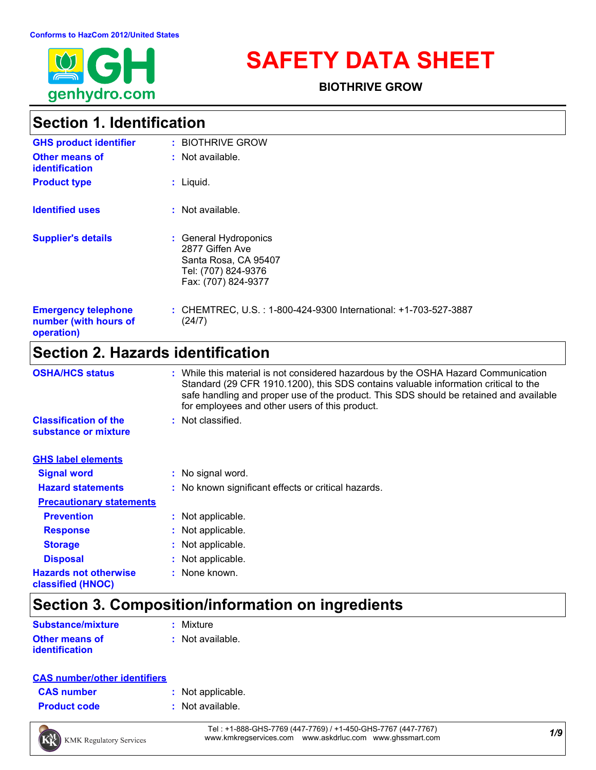

# **SAFETY DATA SHEET**

**BIOTHRIVE GROW**

### **Section 1. Identification**

| <b>GHS product identifier</b>                                     | : BIOTHRIVE GROW                                                                                               |
|-------------------------------------------------------------------|----------------------------------------------------------------------------------------------------------------|
| <b>Other means of</b><br><i>identification</i>                    | $:$ Not available.                                                                                             |
| <b>Product type</b>                                               | $:$ Liquid.                                                                                                    |
| <b>Identified uses</b>                                            | : Not available.                                                                                               |
| <b>Supplier's details</b>                                         | : General Hydroponics<br>2877 Giffen Ave<br>Santa Rosa, CA 95407<br>Tel: (707) 824-9376<br>Fax: (707) 824-9377 |
| <b>Emergency telephone</b><br>number (with hours of<br>operation) | : CHEMTREC, U.S. : 1-800-424-9300 International: +1-703-527-3887<br>(24/7)                                     |

### **Section 2. Hazards identification**

| <b>OSHA/HCS status</b>                               | : While this material is not considered hazardous by the OSHA Hazard Communication<br>Standard (29 CFR 1910.1200), this SDS contains valuable information critical to the<br>safe handling and proper use of the product. This SDS should be retained and available<br>for employees and other users of this product. |
|------------------------------------------------------|-----------------------------------------------------------------------------------------------------------------------------------------------------------------------------------------------------------------------------------------------------------------------------------------------------------------------|
| <b>Classification of the</b><br>substance or mixture | : Not classified.                                                                                                                                                                                                                                                                                                     |
| <b>GHS label elements</b>                            |                                                                                                                                                                                                                                                                                                                       |
| <b>Signal word</b>                                   | : No signal word.                                                                                                                                                                                                                                                                                                     |
| <b>Hazard statements</b>                             | : No known significant effects or critical hazards.                                                                                                                                                                                                                                                                   |
| <b>Precautionary statements</b>                      |                                                                                                                                                                                                                                                                                                                       |
| <b>Prevention</b>                                    | : Not applicable.                                                                                                                                                                                                                                                                                                     |
| <b>Response</b>                                      | : Not applicable.                                                                                                                                                                                                                                                                                                     |
| <b>Storage</b>                                       | : Not applicable.                                                                                                                                                                                                                                                                                                     |
| <b>Disposal</b>                                      | : Not applicable.                                                                                                                                                                                                                                                                                                     |
| <b>Hazards not otherwise</b><br>classified (HNOC)    | : None known.                                                                                                                                                                                                                                                                                                         |

# **Section 3. Composition/information on ingredients**

| <b>Substance/mixture</b> | : Mixture          |
|--------------------------|--------------------|
| <b>Other means of</b>    | $:$ Not available. |
| <i>identification</i>    |                    |

#### **CAS number/other identifiers**

| <b>CAS number</b> |  |  |
|-------------------|--|--|
|                   |  |  |

- **:** Not applicable.
- **Product code :** Not available.



*1/9* Tel : +1-888-GHS-7769 (447-7769) / +1-450-GHS-7767 (447-7767) www.kmkregservices.com www.askdrluc.com www.ghssmart.com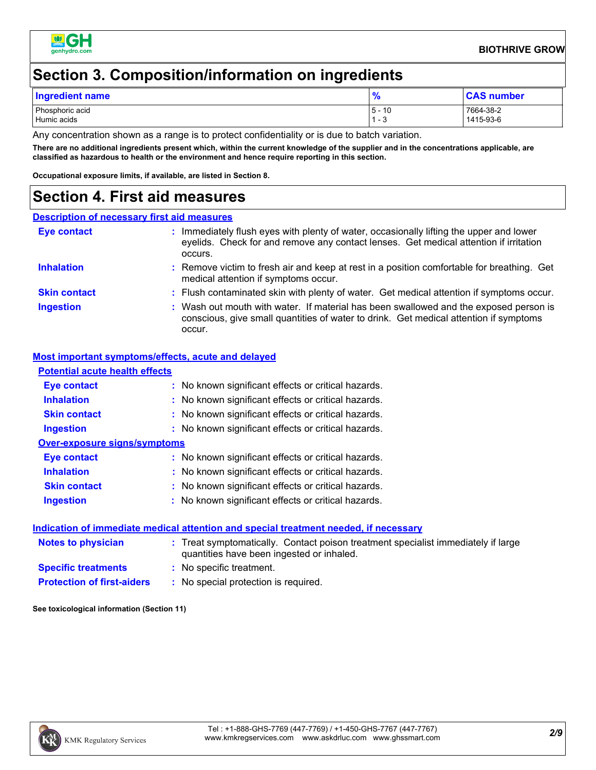

### **Section 3. Composition/information on ingredients**

| Ingredient name                |                    | <b>CAS number</b>      |
|--------------------------------|--------------------|------------------------|
| Phosphoric acid<br>Humic acids | 5 -<br>10<br>ن - ` | 7664-38-2<br>1415-93-6 |

Any concentration shown as a range is to protect confidentiality or is due to batch variation.

**There are no additional ingredients present which, within the current knowledge of the supplier and in the concentrations applicable, are classified as hazardous to health or the environment and hence require reporting in this section.**

**Occupational exposure limits, if available, are listed in Section 8.**

#### **Section 4. First aid measures**

#### **Description of necessary first aid measures**

| <b>Eye contact</b>  | Immediately flush eyes with plenty of water, occasionally lifting the upper and lower<br>eyelids. Check for and remove any contact lenses. Get medical attention if irritation<br>occurs. |
|---------------------|-------------------------------------------------------------------------------------------------------------------------------------------------------------------------------------------|
| <b>Inhalation</b>   | : Remove victim to fresh air and keep at rest in a position comfortable for breathing. Get<br>medical attention if symptoms occur.                                                        |
| <b>Skin contact</b> | : Flush contaminated skin with plenty of water. Get medical attention if symptoms occur.                                                                                                  |
| <b>Ingestion</b>    | : Wash out mouth with water. If material has been swallowed and the exposed person is<br>conscious, give small quantities of water to drink. Get medical attention if symptoms<br>occur.  |

#### **Most important symptoms/effects, acute and delayed**

| <b>Potential acute health effects</b> |                                                                                                                                |
|---------------------------------------|--------------------------------------------------------------------------------------------------------------------------------|
| Eye contact                           | : No known significant effects or critical hazards.                                                                            |
| <b>Inhalation</b>                     | : No known significant effects or critical hazards.                                                                            |
| <b>Skin contact</b>                   | : No known significant effects or critical hazards.                                                                            |
| <b>Ingestion</b>                      | : No known significant effects or critical hazards.                                                                            |
| <b>Over-exposure signs/symptoms</b>   |                                                                                                                                |
| Eye contact                           | : No known significant effects or critical hazards.                                                                            |
| <b>Inhalation</b>                     | : No known significant effects or critical hazards.                                                                            |
| <b>Skin contact</b>                   | : No known significant effects or critical hazards.                                                                            |
| <b>Ingestion</b>                      | : No known significant effects or critical hazards.                                                                            |
|                                       | Indication of immediate medical attention and special treatment needed, if necessary                                           |
| <b>Notes to physician</b>             | : Treat symptomatically. Contact poison treatment specialist immediately if large<br>quantities have been ingested or inhaled. |
| <b>Specific treatments</b>            | : No specific treatment.                                                                                                       |
| <b>Protection of first-aiders</b>     | : No special protection is required.                                                                                           |

**See toxicological information (Section 11)**

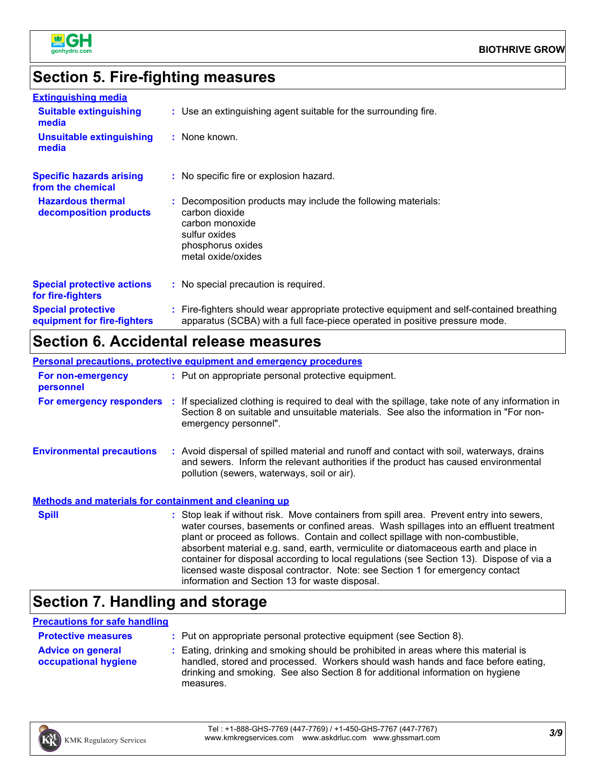

# **Section 5. Fire-fighting measures**

| <b>Extinguishing media</b>                               |                                                                                                                                                                          |
|----------------------------------------------------------|--------------------------------------------------------------------------------------------------------------------------------------------------------------------------|
| <b>Suitable extinguishing</b><br>media                   | : Use an extinguishing agent suitable for the surrounding fire.                                                                                                          |
| <b>Unsuitable extinguishing</b><br>media                 | : None known.                                                                                                                                                            |
| <b>Specific hazards arising</b><br>from the chemical     | : No specific fire or explosion hazard.                                                                                                                                  |
| <b>Hazardous thermal</b><br>decomposition products       | : Decomposition products may include the following materials:<br>carbon dioxide<br>carbon monoxide<br>sulfur oxides<br>phosphorus oxides<br>metal oxide/oxides           |
| <b>Special protective actions</b><br>for fire-fighters   | : No special precaution is required.                                                                                                                                     |
| <b>Special protective</b><br>equipment for fire-fighters | : Fire-fighters should wear appropriate protective equipment and self-contained breathing<br>apparatus (SCBA) with a full face-piece operated in positive pressure mode. |

### **Section 6. Accidental release measures**

|                                                              | <b>Personal precautions, protective equipment and emergency procedures</b>                                                                                                                                                                                                                                                                                                                                                                                                                                                                                                                 |
|--------------------------------------------------------------|--------------------------------------------------------------------------------------------------------------------------------------------------------------------------------------------------------------------------------------------------------------------------------------------------------------------------------------------------------------------------------------------------------------------------------------------------------------------------------------------------------------------------------------------------------------------------------------------|
| For non-emergency<br>personnel                               | : Put on appropriate personal protective equipment.                                                                                                                                                                                                                                                                                                                                                                                                                                                                                                                                        |
|                                                              | For emergency responders : If specialized clothing is required to deal with the spillage, take note of any information in<br>Section 8 on suitable and unsuitable materials. See also the information in "For non-<br>emergency personnel".                                                                                                                                                                                                                                                                                                                                                |
| <b>Environmental precautions</b>                             | : Avoid dispersal of spilled material and runoff and contact with soil, waterways, drains<br>and sewers. Inform the relevant authorities if the product has caused environmental<br>pollution (sewers, waterways, soil or air).                                                                                                                                                                                                                                                                                                                                                            |
| <b>Methods and materials for containment and cleaning up</b> |                                                                                                                                                                                                                                                                                                                                                                                                                                                                                                                                                                                            |
| <b>Spill</b>                                                 | : Stop leak if without risk. Move containers from spill area. Prevent entry into sewers,<br>water courses, basements or confined areas. Wash spillages into an effluent treatment<br>plant or proceed as follows. Contain and collect spillage with non-combustible,<br>absorbent material e.g. sand, earth, vermiculite or diatomaceous earth and place in<br>container for disposal according to local regulations (see Section 13). Dispose of via a<br>licensed waste disposal contractor. Note: see Section 1 for emergency contact<br>information and Section 13 for waste disposal. |

# **Section 7. Handling and storage**

#### **Precautions for safe handling**

| <b>Protective measures</b>                       | : Put on appropriate personal protective equipment (see Section 8).                                                                                                                                                                                                    |
|--------------------------------------------------|------------------------------------------------------------------------------------------------------------------------------------------------------------------------------------------------------------------------------------------------------------------------|
| <b>Advice on general</b><br>occupational hygiene | : Eating, drinking and smoking should be prohibited in areas where this material is<br>handled, stored and processed. Workers should wash hands and face before eating,<br>drinking and smoking. See also Section 8 for additional information on hygiene<br>measures. |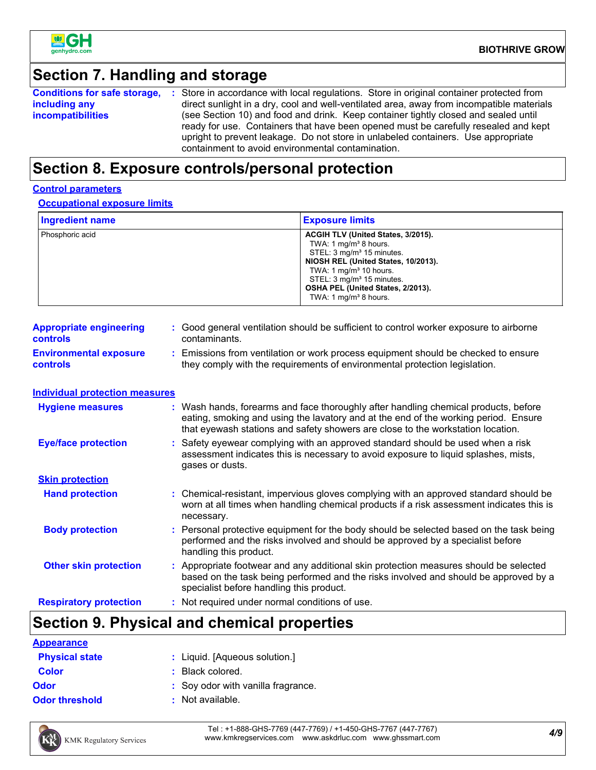

### **Section 7. Handling and storage**

|                          | <b>Conditions for safe storage, :</b> Store in accordance with local regulations. Store in original container protected from |
|--------------------------|------------------------------------------------------------------------------------------------------------------------------|
| including any            | direct sunlight in a dry, cool and well-ventilated area, away from incompatible materials                                    |
| <i>incompatibilities</i> | (see Section 10) and food and drink. Keep container tightly closed and sealed until                                          |
|                          | ready for use. Containers that have been opened must be carefully resealed and kept                                          |
|                          | upright to prevent leakage. Do not store in unlabeled containers. Use appropriate                                            |
|                          | containment to avoid environmental contamination.                                                                            |

#### **Section 8. Exposure controls/personal protection**

#### **Control parameters**

**Occupational exposure limits**

| <b>Ingredient name</b> | <b>Exposure limits</b>                                                                                                                                                                                                                                                             |
|------------------------|------------------------------------------------------------------------------------------------------------------------------------------------------------------------------------------------------------------------------------------------------------------------------------|
| Phosphoric acid        | ACGIH TLV (United States, 3/2015).<br>TWA: 1 $mg/m3$ 8 hours.<br>STEL: 3 mg/m <sup>3</sup> 15 minutes.<br>NIOSH REL (United States, 10/2013).<br>TWA: 1 $mq/m3$ 10 hours.<br>STEL: 3 mg/m <sup>3</sup> 15 minutes.<br>OSHA PEL (United States, 2/2013).<br>TWA: 1 $mq/m3$ 8 hours. |

| <b>Appropriate engineering</b><br><b>controls</b> | : Good general ventilation should be sufficient to control worker exposure to airborne<br>contaminants.                                                        |
|---------------------------------------------------|----------------------------------------------------------------------------------------------------------------------------------------------------------------|
| <b>Environmental exposure</b><br><b>controls</b>  | Emissions from ventilation or work process equipment should be checked to ensure<br>they comply with the requirements of environmental protection legislation. |

**Individual protection measures**

| <b>Hygiene measures</b>       | : Wash hands, forearms and face thoroughly after handling chemical products, before<br>eating, smoking and using the lavatory and at the end of the working period. Ensure<br>that eyewash stations and safety showers are close to the workstation location. |
|-------------------------------|---------------------------------------------------------------------------------------------------------------------------------------------------------------------------------------------------------------------------------------------------------------|
| <b>Eye/face protection</b>    | : Safety eyewear complying with an approved standard should be used when a risk<br>assessment indicates this is necessary to avoid exposure to liquid splashes, mists,<br>gases or dusts.                                                                     |
| <b>Skin protection</b>        |                                                                                                                                                                                                                                                               |
| <b>Hand protection</b>        | : Chemical-resistant, impervious gloves complying with an approved standard should be<br>worn at all times when handling chemical products if a risk assessment indicates this is<br>necessary.                                                               |
| <b>Body protection</b>        | : Personal protective equipment for the body should be selected based on the task being<br>performed and the risks involved and should be approved by a specialist before<br>handling this product.                                                           |
| <b>Other skin protection</b>  | : Appropriate footwear and any additional skin protection measures should be selected<br>based on the task being performed and the risks involved and should be approved by a<br>specialist before handling this product.                                     |
| <b>Respiratory protection</b> | : Not required under normal conditions of use.                                                                                                                                                                                                                |

# **Section 9. Physical and chemical properties**

| <b>Appearance</b>     |                                    |
|-----------------------|------------------------------------|
| <b>Physical state</b> | : Liquid. [Aqueous solution.]      |
| <b>Color</b>          | : Black colored.                   |
| <b>Odor</b>           | : Soy odor with vanilla fragrance. |
| <b>Odor threshold</b> | : Not available.                   |



*4/9* Tel : +1-888-GHS-7769 (447-7769) / +1-450-GHS-7767 (447-7767) www.kmkregservices.com www.askdrluc.com www.ghssmart.com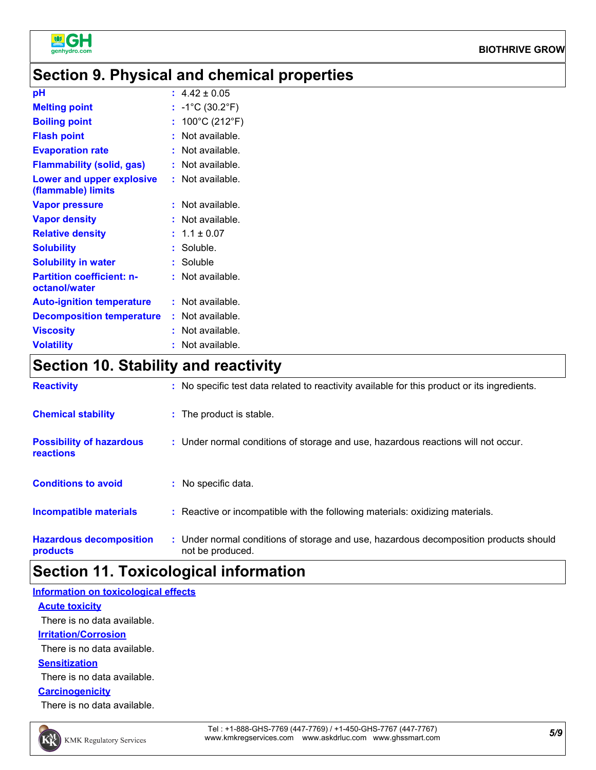

### **Section 9. Physical and chemical properties**

| pH                                                | $\div$ 4.42 $\pm$ 0.05               |
|---------------------------------------------------|--------------------------------------|
| <b>Melting point</b>                              | : $-1^{\circ}C(30.2^{\circ}F)$       |
| <b>Boiling point</b>                              | : $100^{\circ}$ C (212 $^{\circ}$ F) |
| <b>Flash point</b>                                | : Not available.                     |
| <b>Evaporation rate</b>                           | : Not available.                     |
| <b>Flammability (solid, gas)</b>                  | : Not available.                     |
| Lower and upper explosive<br>(flammable) limits   | : Not available.                     |
| <b>Vapor pressure</b>                             | : Not available.                     |
| <b>Vapor density</b>                              | : Not available.                     |
| <b>Relative density</b>                           | $: 1.1 \pm 0.07$                     |
| <b>Solubility</b>                                 | $:$ Soluble.                         |
| <b>Solubility in water</b>                        | $:$ Soluble                          |
| <b>Partition coefficient: n-</b><br>octanol/water | : Not available.                     |
| <b>Auto-ignition temperature</b>                  | : Not available.                     |
| <b>Decomposition temperature</b>                  | $:$ Not available.                   |
| <b>Viscosity</b>                                  | : Not available.                     |
| <b>Volatility</b>                                 | : Not available.                     |

### **Section 10. Stability and reactivity**

| <b>Reactivity</b>                            | : No specific test data related to reactivity available for this product or its ingredients.              |
|----------------------------------------------|-----------------------------------------------------------------------------------------------------------|
| <b>Chemical stability</b>                    | : The product is stable.                                                                                  |
| <b>Possibility of hazardous</b><br>reactions | : Under normal conditions of storage and use, hazardous reactions will not occur.                         |
| <b>Conditions to avoid</b>                   | : No specific data.                                                                                       |
| Incompatible materials                       | : Reactive or incompatible with the following materials: oxidizing materials.                             |
| <b>Hazardous decomposition</b><br>products   | : Under normal conditions of storage and use, hazardous decomposition products should<br>not be produced. |

### **Section 11. Toxicological information**

#### **Acute toxicity Information on toxicological effects** There is no data available.

**Irritation/Corrosion**

There is no data available.

#### **Sensitization**

There is no data available.

#### **Carcinogenicity**

There is no data available.

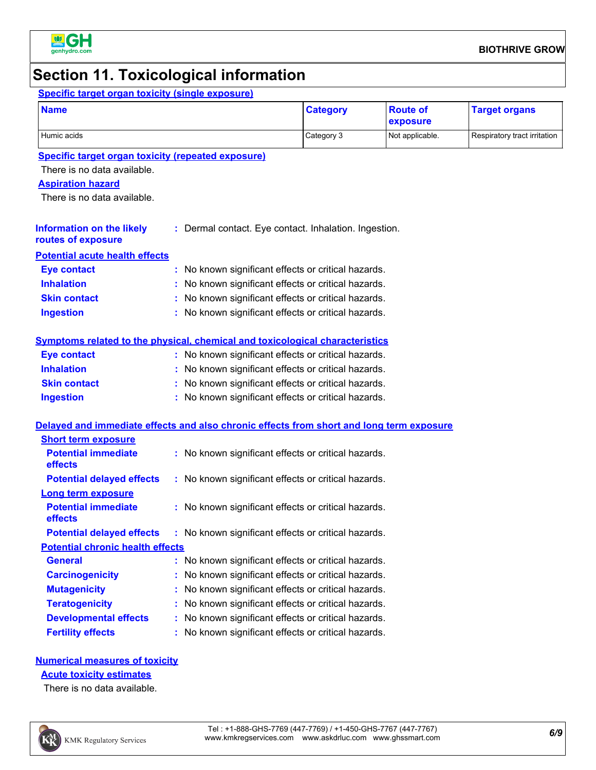

### **Section 11. Toxicological information**

#### **Specific target organ toxicity (single exposure) Name Category Category Category Category Category C**

| <b>Name</b>                                                                              |                                                       | <b>Category</b> | <b>Route of</b><br>exposure | <b>Target organs</b>         |
|------------------------------------------------------------------------------------------|-------------------------------------------------------|-----------------|-----------------------------|------------------------------|
| Humic acids                                                                              |                                                       | Category 3      | Not applicable.             | Respiratory tract irritation |
| <b>Specific target organ toxicity (repeated exposure)</b>                                |                                                       |                 |                             |                              |
| There is no data available.                                                              |                                                       |                 |                             |                              |
| <b>Aspiration hazard</b>                                                                 |                                                       |                 |                             |                              |
| There is no data available.                                                              |                                                       |                 |                             |                              |
| <b>Information on the likely</b><br>routes of exposure                                   | : Dermal contact. Eye contact. Inhalation. Ingestion. |                 |                             |                              |
| <b>Potential acute health effects</b>                                                    |                                                       |                 |                             |                              |
| <b>Eye contact</b>                                                                       | : No known significant effects or critical hazards.   |                 |                             |                              |
| <b>Inhalation</b>                                                                        | : No known significant effects or critical hazards.   |                 |                             |                              |
| <b>Skin contact</b>                                                                      | : No known significant effects or critical hazards.   |                 |                             |                              |
| <b>Ingestion</b>                                                                         | : No known significant effects or critical hazards.   |                 |                             |                              |
| Symptoms related to the physical, chemical and toxicological characteristics             |                                                       |                 |                             |                              |
| <b>Eye contact</b>                                                                       | : No known significant effects or critical hazards.   |                 |                             |                              |
| <b>Inhalation</b>                                                                        | : No known significant effects or critical hazards.   |                 |                             |                              |
| <b>Skin contact</b>                                                                      | : No known significant effects or critical hazards.   |                 |                             |                              |
| <b>Ingestion</b>                                                                         | : No known significant effects or critical hazards.   |                 |                             |                              |
| Delayed and immediate effects and also chronic effects from short and long term exposure |                                                       |                 |                             |                              |
| <b>Short term exposure</b>                                                               |                                                       |                 |                             |                              |
| <b>Potential immediate</b><br>effects                                                    | : No known significant effects or critical hazards.   |                 |                             |                              |
| <b>Potential delayed effects</b>                                                         | : No known significant effects or critical hazards.   |                 |                             |                              |
| <b>Long term exposure</b>                                                                |                                                       |                 |                             |                              |
| <b>Potential immediate</b><br>effects                                                    | : No known significant effects or critical hazards.   |                 |                             |                              |
| <b>Potential delayed effects</b>                                                         | : No known significant effects or critical hazards.   |                 |                             |                              |
| <b>Potential chronic health effects</b>                                                  |                                                       |                 |                             |                              |
| <b>General</b>                                                                           | : No known significant effects or critical hazards.   |                 |                             |                              |
| <b>Carcinogenicity</b>                                                                   | : No known significant effects or critical hazards.   |                 |                             |                              |
| <b>Mutagenicity</b>                                                                      | : No known significant effects or critical hazards.   |                 |                             |                              |
| <b>Teratogenicity</b>                                                                    | : No known significant effects or critical hazards.   |                 |                             |                              |
| <b>Developmental effects</b>                                                             | : No known significant effects or critical hazards.   |                 |                             |                              |

### **Numerical measures of toxicity**

**Fertility effects :** No known significant effects or critical hazards.

**Acute toxicity estimates**

There is no data available.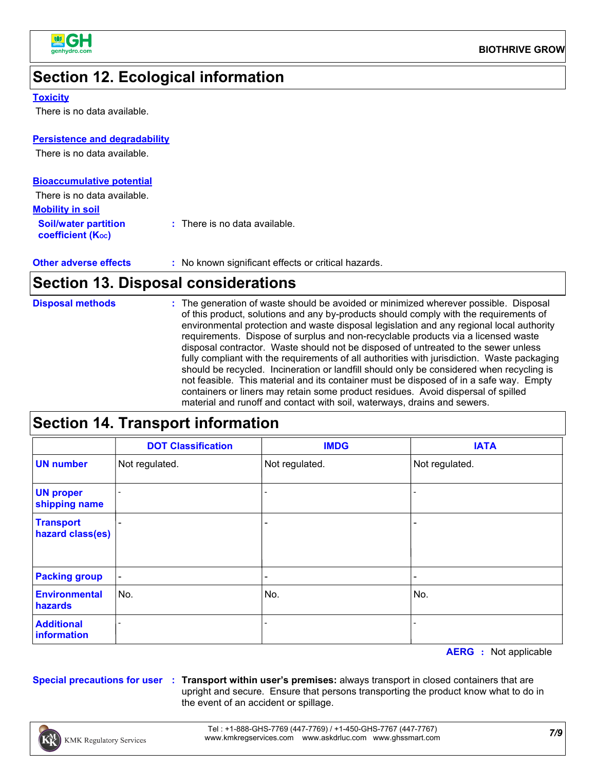

# **Section 12. Ecological information**

#### **Toxicity**

There is no data available.

#### **Persistence and degradability**

There is no data available.

| <b>Bioaccumulative potential</b>                        |                                          |
|---------------------------------------------------------|------------------------------------------|
| There is no data available.                             |                                          |
| <b>Mobility in soil</b>                                 |                                          |
| <b>Soil/water partition</b><br><b>coefficient (Koc)</b> | $\therefore$ There is no data available. |

| <b>Other adverse effects</b> | : No known significant effects or critical hazards. |
|------------------------------|-----------------------------------------------------|
|------------------------------|-----------------------------------------------------|

### **Section 13. Disposal considerations**

| : The generation of waste should be avoided or minimized wherever possible. Disposal<br><b>Disposal methods</b><br>of this product, solutions and any by-products should comply with the requirements of<br>environmental protection and waste disposal legislation and any regional local authority<br>requirements. Dispose of surplus and non-recyclable products via a licensed waste<br>disposal contractor. Waste should not be disposed of untreated to the sewer unless<br>fully compliant with the requirements of all authorities with jurisdiction. Waste packaging<br>should be recycled. Incineration or landfill should only be considered when recycling is<br>not feasible. This material and its container must be disposed of in a safe way. Empty<br>containers or liners may retain some product residues. Avoid dispersal of spilled<br>material and runoff and contact with soil, waterways, drains and sewers. |
|---------------------------------------------------------------------------------------------------------------------------------------------------------------------------------------------------------------------------------------------------------------------------------------------------------------------------------------------------------------------------------------------------------------------------------------------------------------------------------------------------------------------------------------------------------------------------------------------------------------------------------------------------------------------------------------------------------------------------------------------------------------------------------------------------------------------------------------------------------------------------------------------------------------------------------------|

# **Section 14. Transport information**

|                                      | <b>DOT Classification</b> | <b>IMDG</b>              | <b>IATA</b>                  |
|--------------------------------------|---------------------------|--------------------------|------------------------------|
| <b>UN number</b>                     | Not regulated.            | Not regulated.           | Not regulated.               |
| <b>UN proper</b><br>shipping name    |                           |                          |                              |
| <b>Transport</b><br>hazard class(es) | $\overline{\phantom{0}}$  |                          | $\qquad \qquad \blacksquare$ |
| <b>Packing group</b>                 | $\blacksquare$            | $\overline{\phantom{0}}$ | $\qquad \qquad \blacksquare$ |
| <b>Environmental</b><br>hazards      | No.                       | No.                      | No.                          |
| <b>Additional</b><br>information     |                           |                          |                              |

**AERG :** Not applicable

**Special precautions for user Transport within user's premises:** always transport in closed containers that are **:** upright and secure. Ensure that persons transporting the product know what to do in the event of an accident or spillage.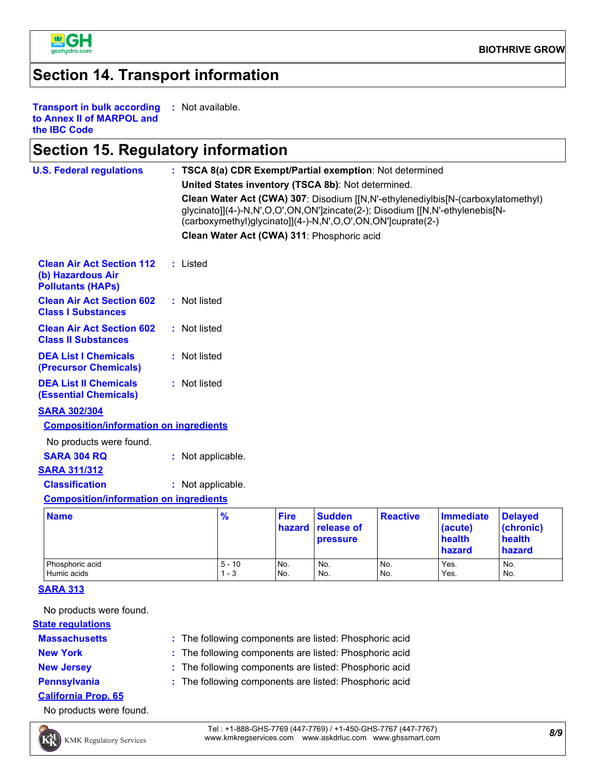

#### **Section 14. Transport information**

**Transport in bulk according to Annex II of MARPOL and the IBC Code :** Not available.

#### **Section 15. Regulatory information**

| <b>U.S. Federal regulations</b>                                                   |                   |                     |                       | : TSCA 8(a) CDR Exempt/Partial exemption: Not determined    |                 |                                                                                                                                                                  |                                                 |
|-----------------------------------------------------------------------------------|-------------------|---------------------|-----------------------|-------------------------------------------------------------|-----------------|------------------------------------------------------------------------------------------------------------------------------------------------------------------|-------------------------------------------------|
|                                                                                   |                   |                     |                       | United States inventory (TSCA 8b): Not determined.          |                 |                                                                                                                                                                  |                                                 |
|                                                                                   |                   |                     |                       | (carboxymethyl)glycinato]](4-)-N,N',O,O',ON,ON']cuprate(2-) |                 | Clean Water Act (CWA) 307: Disodium [[N,N'-ethylenediylbis[N-(carboxylatomethyl)<br>glycinato]](4-)-N,N',O,O',ON,ON']zincate(2-); Disodium [[N,N'-ethylenebis[N- |                                                 |
|                                                                                   |                   |                     |                       | Clean Water Act (CWA) 311: Phosphoric acid                  |                 |                                                                                                                                                                  |                                                 |
| <b>Clean Air Act Section 112</b><br>(b) Hazardous Air<br><b>Pollutants (HAPs)</b> | : Listed          |                     |                       |                                                             |                 |                                                                                                                                                                  |                                                 |
| <b>Clean Air Act Section 602</b><br><b>Class I Substances</b>                     | : Not listed      |                     |                       |                                                             |                 |                                                                                                                                                                  |                                                 |
| <b>Clean Air Act Section 602</b><br><b>Class II Substances</b>                    | : Not listed      |                     |                       |                                                             |                 |                                                                                                                                                                  |                                                 |
| <b>DEA List I Chemicals</b><br>(Precursor Chemicals)                              | : Not listed      |                     |                       |                                                             |                 |                                                                                                                                                                  |                                                 |
| <b>DEA List II Chemicals</b><br><b>(Essential Chemicals)</b>                      | : Not listed      |                     |                       |                                                             |                 |                                                                                                                                                                  |                                                 |
| <b>SARA 302/304</b>                                                               |                   |                     |                       |                                                             |                 |                                                                                                                                                                  |                                                 |
| <b>Composition/information on ingredients</b>                                     |                   |                     |                       |                                                             |                 |                                                                                                                                                                  |                                                 |
| No products were found.                                                           |                   |                     |                       |                                                             |                 |                                                                                                                                                                  |                                                 |
| <b>SARA 304 RQ</b>                                                                | : Not applicable. |                     |                       |                                                             |                 |                                                                                                                                                                  |                                                 |
| <b>SARA 311/312</b>                                                               |                   |                     |                       |                                                             |                 |                                                                                                                                                                  |                                                 |
| <b>Classification</b>                                                             | : Not applicable. |                     |                       |                                                             |                 |                                                                                                                                                                  |                                                 |
| <b>Composition/information on ingredients</b>                                     |                   |                     |                       |                                                             |                 |                                                                                                                                                                  |                                                 |
| <b>Name</b>                                                                       |                   | $\frac{9}{6}$       | <b>Fire</b><br>hazard | <b>Sudden</b><br>release of<br><b>pressure</b>              | <b>Reactive</b> | <b>Immediate</b><br>(acute)<br>health<br>hazard                                                                                                                  | <b>Delayed</b><br>(chronic)<br>health<br>hazard |
| Phosphoric acid<br>Humic acids                                                    |                   | $5 - 10$<br>$1 - 3$ | No.<br>No.            | No.<br>No.                                                  | No.<br>No.      | Yes.<br>Yes.                                                                                                                                                     | No.<br>No.                                      |

**SARA 313**

No products were found.

**State regulations**

- **Massachusetts**
- 

The following components are listed: Phosphoric acid **:**

Humic acids 1 - 3 No. No. No. No. Yes. No. No. No.

- 
- **New York :** The following components are listed: Phosphoric acid
- **New Jersey :** The following components are listed: Phosphoric acid
- 
- **Pennsylvania :** The following components are listed: Phosphoric acid
- **California Prop. 65**

No products were found.



*8/9* Tel : +1-888-GHS-7769 (447-7769) / +1-450-GHS-7767 (447-7767) www.kmkregservices.com www.askdrluc.com www.ghssmart.com